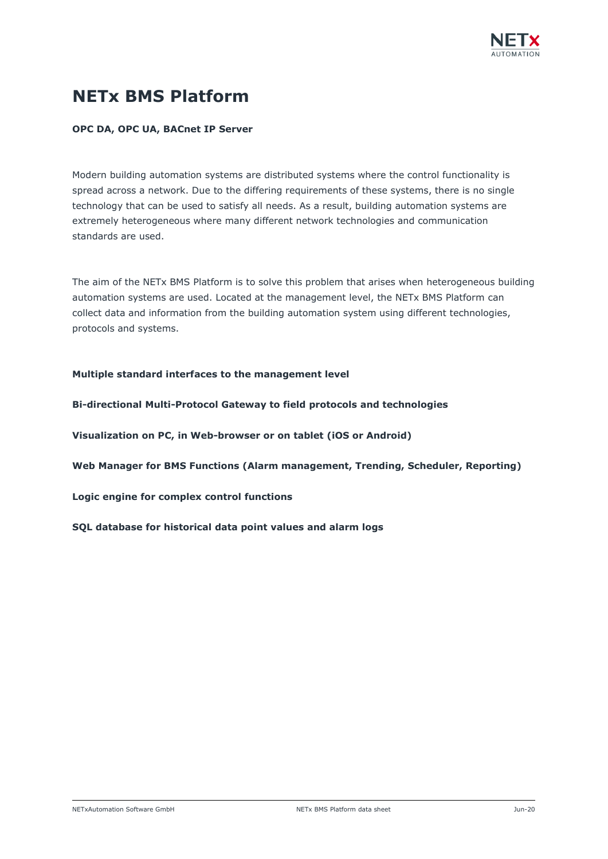

# **NETx BMS Platform**

## **OPC DA, OPC UA, BACnet IP Server**

Modern building automation systems are distributed systems where the control functionality is spread across a network. Due to the differing requirements of these systems, there is no single technology that can be used to satisfy all needs. As a result, building automation systems are extremely heterogeneous where many different network technologies and communication standards are used.

The aim of the NETx BMS Platform is to solve this problem that arises when heterogeneous building automation systems are used. Located at the management level, the NETx BMS Platform can collect data and information from the building automation system using different technologies, protocols and systems.

### **Multiple standard interfaces to the management level**

**Bi-directional Multi-Protocol Gateway to field protocols and technologies**

**Visualization on PC, in Web-browser or on tablet (iOS or Android)**

**Web Manager for BMS Functions (Alarm management, Trending, Scheduler, Reporting)**

**Logic engine for complex control functions**

**SQL database for historical data point values and alarm logs**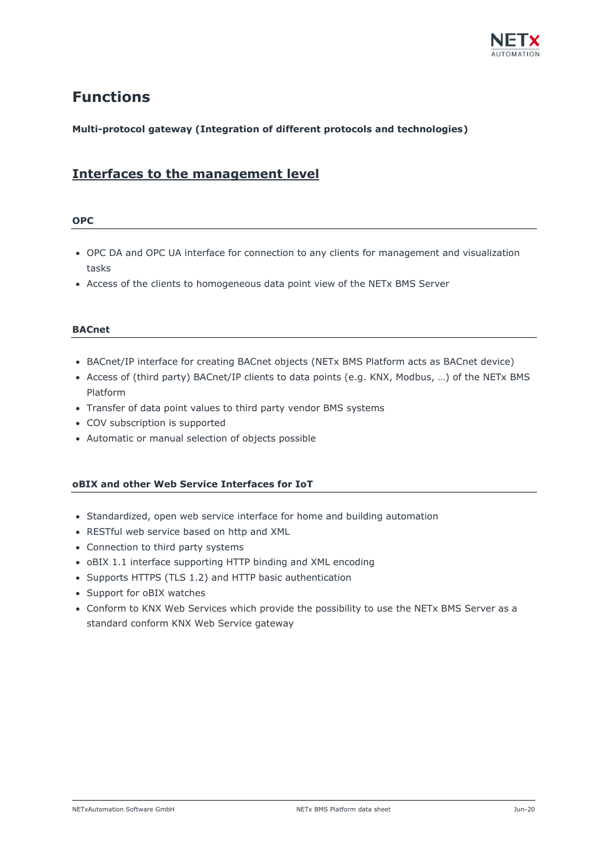

# **Functions**

# **Multi-protocol gateway (Integration of different protocols and technologies)**

# **Interfaces to the management level**

### **OPC**

- OPC DA and OPC UA interface for connection to any clients for management and visualization tasks
- Access of the clients to homogeneous data point view of the NETx BMS Server

# **BACnet**

- BACnet/IP interface for creating BACnet objects (NETx BMS Platform acts as BACnet device)
- Access of (third party) BACnet/IP clients to data points (e.g. KNX, Modbus, …) of the NETx BMS Platform
- Transfer of data point values to third party vendor BMS systems
- COV subscription is supported
- Automatic or manual selection of objects possible

# **oBIX and other Web Service Interfaces for IoT**

- Standardized, open web service interface for home and building automation
- RESTful web service based on http and XML
- Connection to third party systems
- oBIX 1.1 interface supporting HTTP binding and XML encoding
- Supports HTTPS (TLS 1.2) and HTTP basic authentication
- Support for oBIX watches
- Conform to KNX Web Services which provide the possibility to use the NETx BMS Server as a standard conform KNX Web Service gateway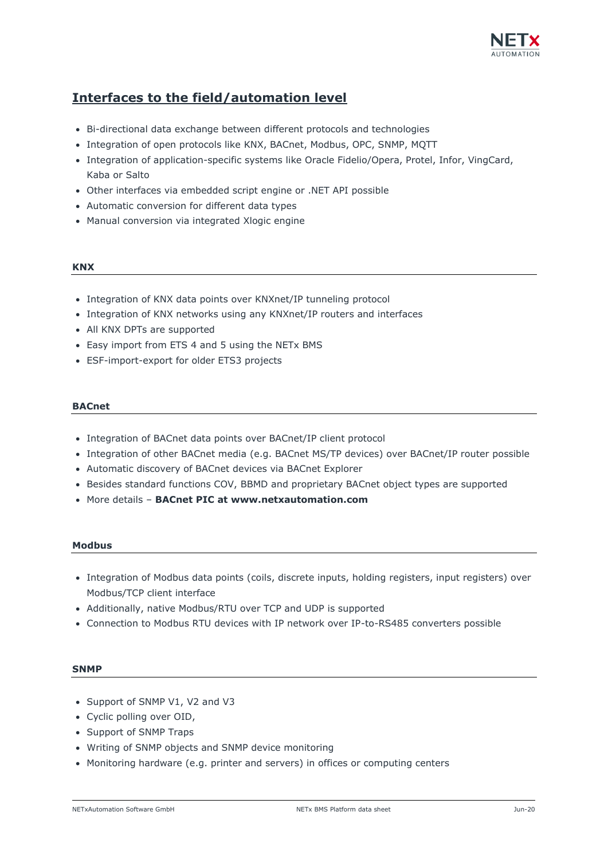

# **Interfaces to the field/automation level**

- Bi-directional data exchange between different protocols and technologies
- Integration of open protocols like KNX, BACnet, Modbus, OPC, SNMP, MQTT
- Integration of application-specific systems like Oracle Fidelio/Opera, Protel, Infor, VingCard, Kaba or Salto
- Other interfaces via embedded script engine or .NET API possible
- Automatic conversion for different data types
- Manual conversion via integrated Xlogic engine

#### **KNX**

- Integration of KNX data points over KNXnet/IP tunneling protocol
- Integration of KNX networks using any KNXnet/IP routers and interfaces
- All KNX DPTs are supported
- Easy import from ETS 4 and 5 using the NETx BMS
- ESF-import-export for older ETS3 projects

#### **BACnet**

- Integration of BACnet data points over BACnet/IP client protocol
- Integration of other BACnet media (e.g. BACnet MS/TP devices) over BACnet/IP router possible
- Automatic discovery of BACnet devices via BACnet Explorer
- Besides standard functions COV, BBMD and proprietary BACnet object types are supported
- More details **BACnet PIC at www.netxautomation.com**

#### **Modbus**

- Integration of Modbus data points (coils, discrete inputs, holding registers, input registers) over Modbus/TCP client interface
- Additionally, native Modbus/RTU over TCP and UDP is supported
- Connection to Modbus RTU devices with IP network over IP-to-RS485 converters possible

#### **SNMP**

- Support of SNMP V1, V2 and V3
- Cyclic polling over OID,
- Support of SNMP Traps
- Writing of SNMP objects and SNMP device monitoring
- Monitoring hardware (e.g. printer and servers) in offices or computing centers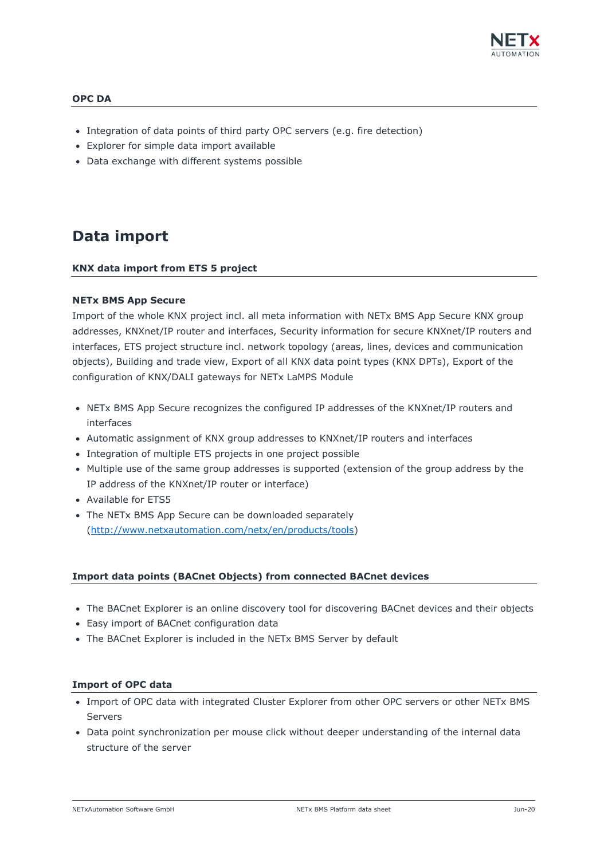

## **OPC DA**

- Integration of data points of third party OPC servers (e.g. fire detection)
- Explorer for simple data import available
- Data exchange with different systems possible

# **Data import**

#### **KNX data import from ETS 5 project**

#### **NETx BMS App Secure**

Import of the whole KNX project incl. all meta information with NETx BMS App Secure KNX group addresses, KNXnet/IP router and interfaces, Security information for secure KNXnet/IP routers and interfaces, ETS project structure incl. network topology (areas, lines, devices and communication objects), Building and trade view, Export of all KNX data point types (KNX DPTs), Export of the configuration of KNX/DALI gateways for NETx LaMPS Module

- NETx BMS App Secure recognizes the configured IP addresses of the KNXnet/IP routers and interfaces
- Automatic assignment of KNX group addresses to KNXnet/IP routers and interfaces
- Integration of multiple ETS projects in one project possible
- Multiple use of the same group addresses is supported (extension of the group address by the IP address of the KNXnet/IP router or interface)
- Available for ETS5
- The NETx BMS App Secure can be downloaded separately [\(http://www.netxautomation.com/netx/en/products/tools\)](http://www.netxautomation.com/netx/en/products/tools)

#### **Import data points (BACnet Objects) from connected BACnet devices**

- The BACnet Explorer is an online discovery tool for discovering BACnet devices and their objects
- Easy import of BACnet configuration data
- The BACnet Explorer is included in the NETx BMS Server by default

#### **Import of OPC data**

- Import of OPC data with integrated Cluster Explorer from other OPC servers or other NETx BMS Servers
- Data point synchronization per mouse click without deeper understanding of the internal data structure of the server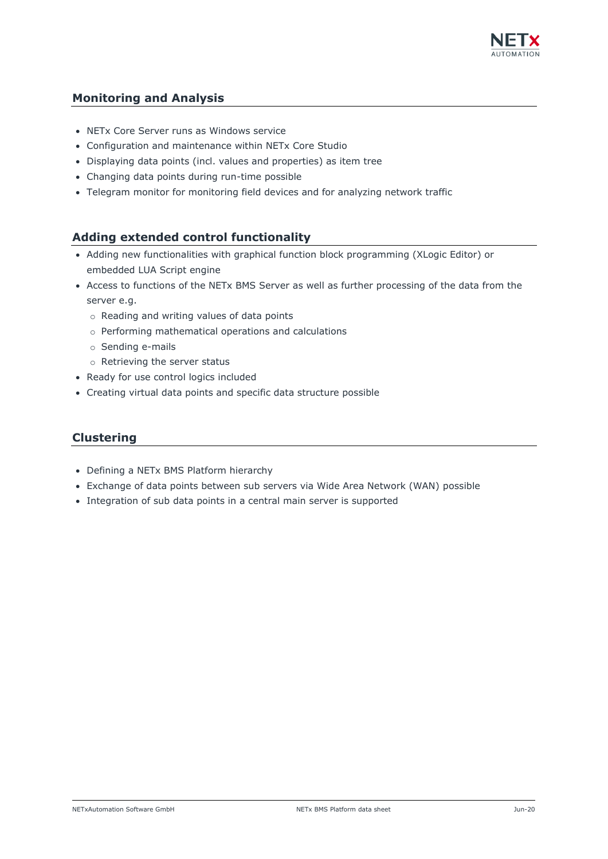

# **Monitoring and Analysis**

- NETx Core Server runs as Windows service
- Configuration and maintenance within NETx Core Studio
- Displaying data points (incl. values and properties) as item tree
- Changing data points during run-time possible
- Telegram monitor for monitoring field devices and for analyzing network traffic

# **Adding extended control functionality**

- Adding new functionalities with graphical function block programming (XLogic Editor) or embedded LUA Script engine
- Access to functions of the NETx BMS Server as well as further processing of the data from the server e.g.
	- o Reading and writing values of data points
	- o Performing mathematical operations and calculations
	- o Sending e-mails
	- o Retrieving the server status
- Ready for use control logics included
- Creating virtual data points and specific data structure possible

# **Clustering**

- Defining a NETx BMS Platform hierarchy
- Exchange of data points between sub servers via Wide Area Network (WAN) possible
- Integration of sub data points in a central main server is supported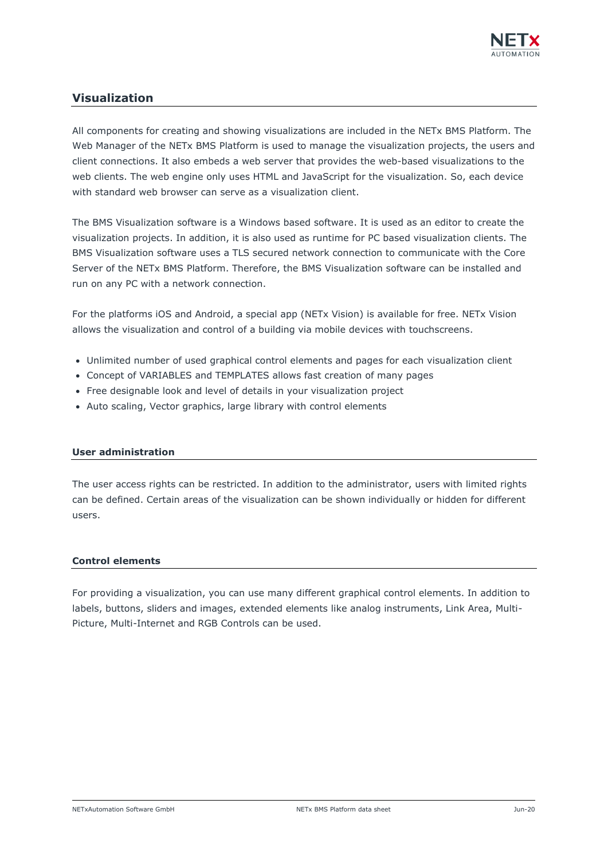

# **Visualization**

All components for creating and showing visualizations are included in the NETx BMS Platform. The Web Manager of the NETx BMS Platform is used to manage the visualization projects, the users and client connections. It also embeds a web server that provides the web-based visualizations to the web clients. The web engine only uses HTML and JavaScript for the visualization. So, each device with standard web browser can serve as a visualization client.

The BMS Visualization software is a Windows based software. It is used as an editor to create the visualization projects. In addition, it is also used as runtime for PC based visualization clients. The BMS Visualization software uses a TLS secured network connection to communicate with the Core Server of the NETx BMS Platform. Therefore, the BMS Visualization software can be installed and run on any PC with a network connection.

For the platforms iOS and Android, a special app (NETx Vision) is available for free. NETx Vision allows the visualization and control of a building via mobile devices with touchscreens.

- Unlimited number of used graphical control elements and pages for each visualization client
- Concept of VARIABLES and TEMPLATES allows fast creation of many pages
- Free designable look and level of details in your visualization project
- Auto scaling, Vector graphics, large library with control elements

#### **User administration**

The user access rights can be restricted. In addition to the administrator, users with limited rights can be defined. Certain areas of the visualization can be shown individually or hidden for different users.

#### **Control elements**

For providing a visualization, you can use many different graphical control elements. In addition to labels, buttons, sliders and images, extended elements like analog instruments, Link Area, Multi-Picture, Multi-Internet and RGB Controls can be used.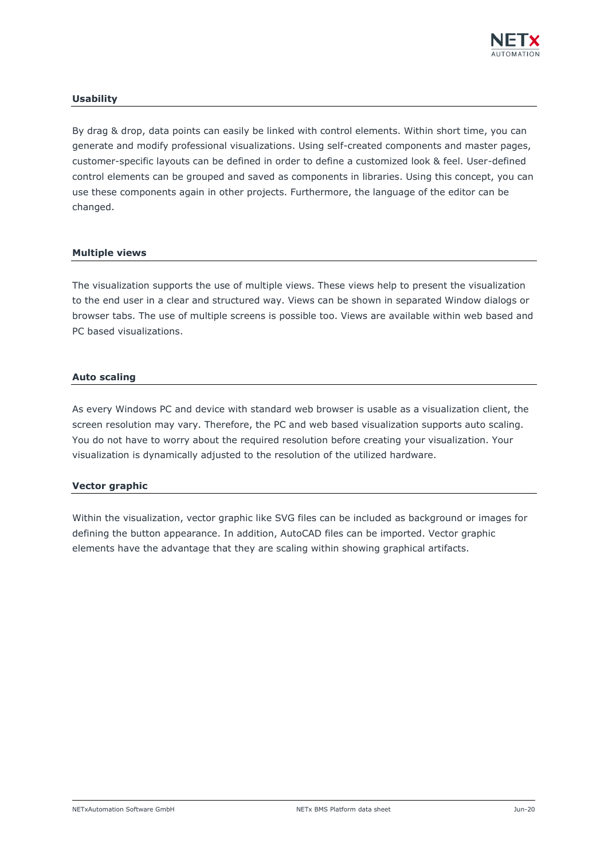

## **Usability**

By drag & drop, data points can easily be linked with control elements. Within short time, you can generate and modify professional visualizations. Using self-created components and master pages, customer-specific layouts can be defined in order to define a customized look & feel. User-defined control elements can be grouped and saved as components in libraries. Using this concept, you can use these components again in other projects. Furthermore, the language of the editor can be changed.

### **Multiple views**

The visualization supports the use of multiple views. These views help to present the visualization to the end user in a clear and structured way. Views can be shown in separated Window dialogs or browser tabs. The use of multiple screens is possible too. Views are available within web based and PC based visualizations.

#### **Auto scaling**

As every Windows PC and device with standard web browser is usable as a visualization client, the screen resolution may vary. Therefore, the PC and web based visualization supports auto scaling. You do not have to worry about the required resolution before creating your visualization. Your visualization is dynamically adjusted to the resolution of the utilized hardware.

#### **Vector graphic**

Within the visualization, vector graphic like SVG files can be included as background or images for defining the button appearance. In addition, AutoCAD files can be imported. Vector graphic elements have the advantage that they are scaling within showing graphical artifacts.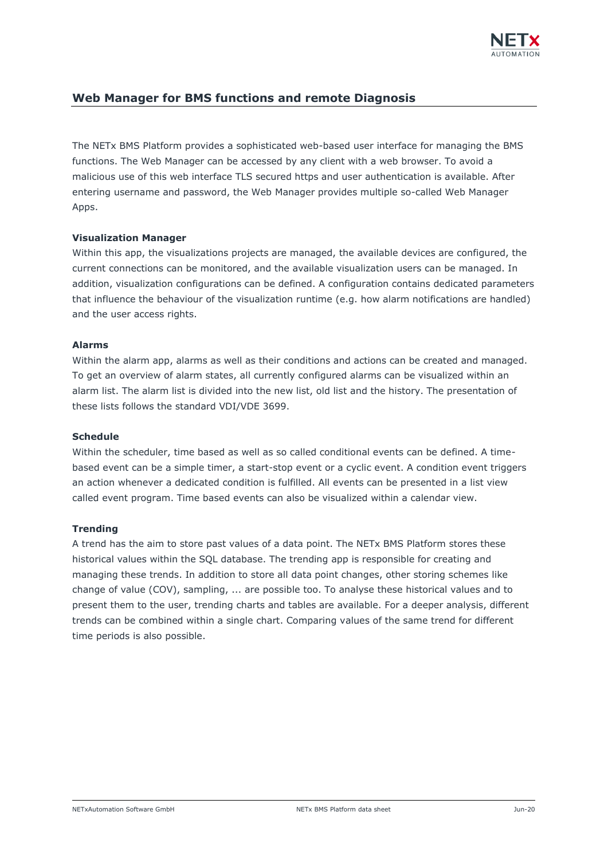

# **Web Manager for BMS functions and remote Diagnosis**

The NETx BMS Platform provides a sophisticated web-based user interface for managing the BMS functions. The Web Manager can be accessed by any client with a web browser. To avoid a malicious use of this web interface TLS secured https and user authentication is available. After entering username and password, the Web Manager provides multiple so-called Web Manager Apps.

### **Visualization Manager**

Within this app, the visualizations projects are managed, the available devices are configured, the current connections can be monitored, and the available visualization users can be managed. In addition, visualization configurations can be defined. A configuration contains dedicated parameters that influence the behaviour of the visualization runtime (e.g. how alarm notifications are handled) and the user access rights.

### **Alarms**

Within the alarm app, alarms as well as their conditions and actions can be created and managed. To get an overview of alarm states, all currently configured alarms can be visualized within an alarm list. The alarm list is divided into the new list, old list and the history. The presentation of these lists follows the standard VDI/VDE 3699.

#### **Schedule**

Within the scheduler, time based as well as so called conditional events can be defined. A timebased event can be a simple timer, a start-stop event or a cyclic event. A condition event triggers an action whenever a dedicated condition is fulfilled. All events can be presented in a list view called event program. Time based events can also be visualized within a calendar view.

# **Trending**

A trend has the aim to store past values of a data point. The NETx BMS Platform stores these historical values within the SQL database. The trending app is responsible for creating and managing these trends. In addition to store all data point changes, other storing schemes like change of value (COV), sampling, ... are possible too. To analyse these historical values and to present them to the user, trending charts and tables are available. For a deeper analysis, different trends can be combined within a single chart. Comparing values of the same trend for different time periods is also possible.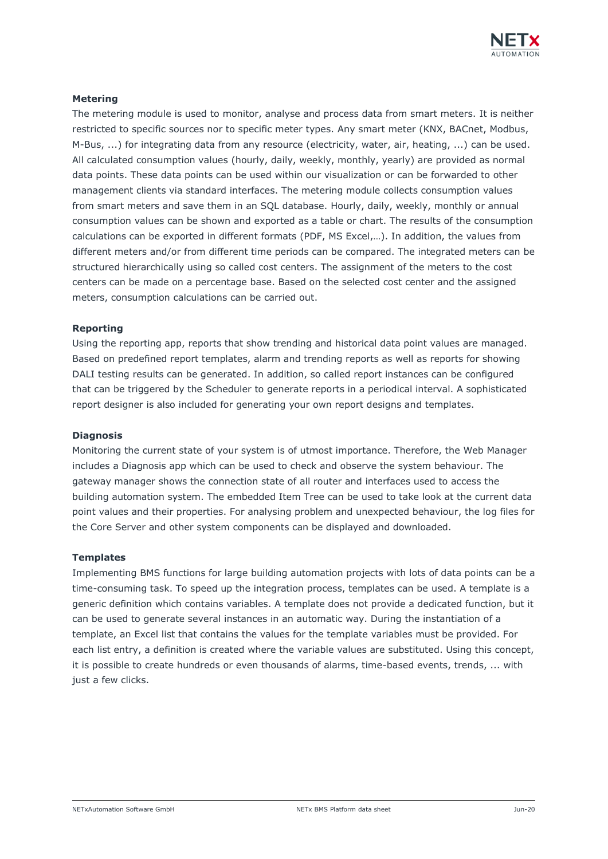

# **Metering**

The metering module is used to monitor, analyse and process data from smart meters. It is neither restricted to specific sources nor to specific meter types. Any smart meter (KNX, BACnet, Modbus, M-Bus, ...) for integrating data from any resource (electricity, water, air, heating, ...) can be used. All calculated consumption values (hourly, daily, weekly, monthly, yearly) are provided as normal data points. These data points can be used within our visualization or can be forwarded to other management clients via standard interfaces. The metering module collects consumption values from smart meters and save them in an SQL database. Hourly, daily, weekly, monthly or annual consumption values can be shown and exported as a table or chart. The results of the consumption calculations can be exported in different formats (PDF, MS Excel,…). In addition, the values from different meters and/or from different time periods can be compared. The integrated meters can be structured hierarchically using so called cost centers. The assignment of the meters to the cost centers can be made on a percentage base. Based on the selected cost center and the assigned meters, consumption calculations can be carried out.

#### **Reporting**

Using the reporting app, reports that show trending and historical data point values are managed. Based on predefined report templates, alarm and trending reports as well as reports for showing DALI testing results can be generated. In addition, so called report instances can be configured that can be triggered by the Scheduler to generate reports in a periodical interval. A sophisticated report designer is also included for generating your own report designs and templates.

#### **Diagnosis**

Monitoring the current state of your system is of utmost importance. Therefore, the Web Manager includes a Diagnosis app which can be used to check and observe the system behaviour. The gateway manager shows the connection state of all router and interfaces used to access the building automation system. The embedded Item Tree can be used to take look at the current data point values and their properties. For analysing problem and unexpected behaviour, the log files for the Core Server and other system components can be displayed and downloaded.

#### **Templates**

Implementing BMS functions for large building automation projects with lots of data points can be a time-consuming task. To speed up the integration process, templates can be used. A template is a generic definition which contains variables. A template does not provide a dedicated function, but it can be used to generate several instances in an automatic way. During the instantiation of a template, an Excel list that contains the values for the template variables must be provided. For each list entry, a definition is created where the variable values are substituted. Using this concept, it is possible to create hundreds or even thousands of alarms, time-based events, trends, ... with just a few clicks.